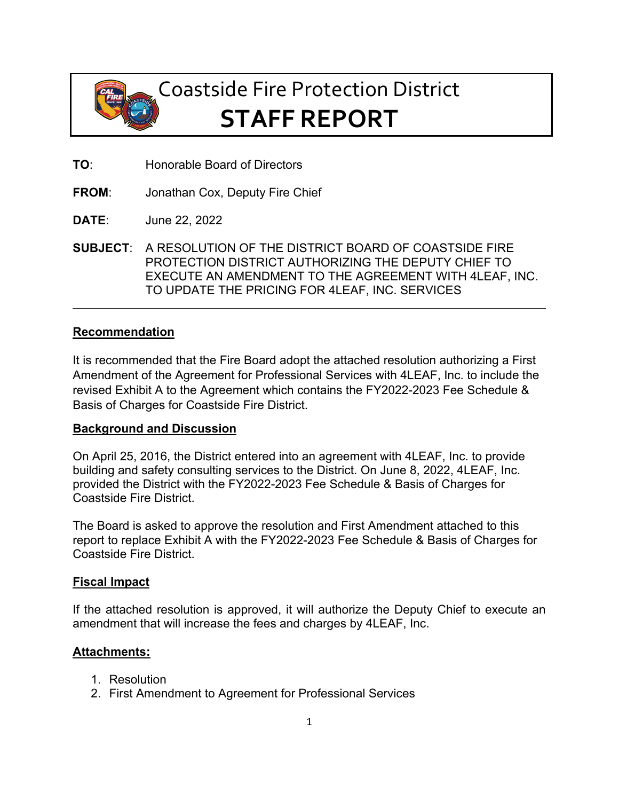

# Coastside Fire Protection District **STAFF REPORT**

- **TO**: Honorable Board of Directors
- **FROM**: Jonathan Cox, Deputy Fire Chief
- **DATE**: June 22, 2022
- **SUBJECT**: A RESOLUTION OF THE DISTRICT BOARD OF COASTSIDE FIRE PROTECTION DISTRICT AUTHORIZING THE DEPUTY CHIEF TO EXECUTE AN AMENDMENT TO THE AGREEMENT WITH 4LEAF, INC. TO UPDATE THE PRICING FOR 4LEAF, INC. SERVICES

#### **Recommendation**

It is recommended that the Fire Board adopt the attached resolution authorizing a First Amendment of the Agreement for Professional Services with 4LEAF, Inc. to include the revised Exhibit A to the Agreement which contains the FY2022-2023 Fee Schedule & Basis of Charges for Coastside Fire District.

#### **Background and Discussion**

On April 25, 2016, the District entered into an agreement with 4LEAF, Inc. to provide building and safety consulting services to the District. On June 8, 2022, 4LEAF, Inc. provided the District with the FY2022-2023 Fee Schedule & Basis of Charges for Coastside Fire District.

The Board is asked to approve the resolution and First Amendment attached to this report to replace Exhibit A with the FY2022-2023 Fee Schedule & Basis of Charges for Coastside Fire District.

#### **Fiscal Impact**

If the attached resolution is approved, it will authorize the Deputy Chief to execute an amendment that will increase the fees and charges by 4LEAF, Inc.

#### **Attachments:**

- 1. Resolution
- 2. First Amendment to Agreement for Professional Services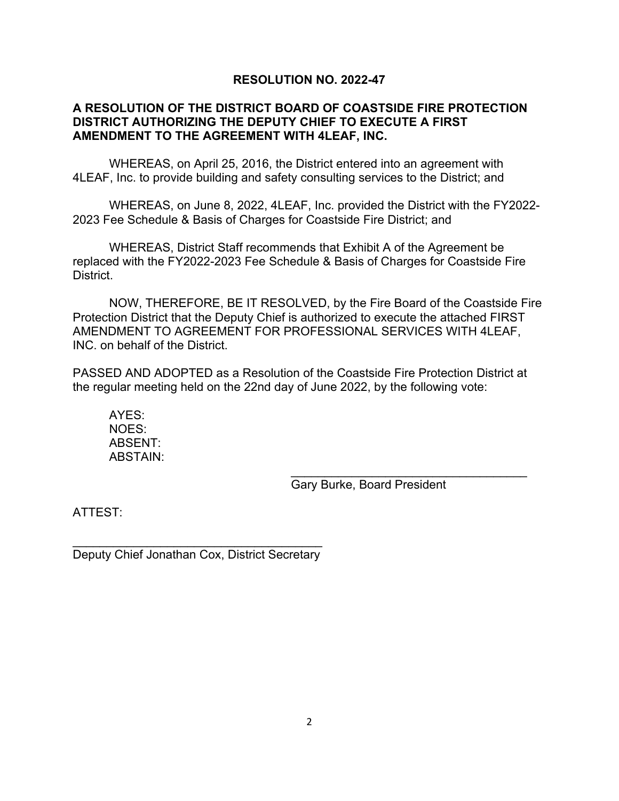## **RESOLUTION NO. 2022-47**

## **A RESOLUTION OF THE DISTRICT BOARD OF COASTSIDE FIRE PROTECTION DISTRICT AUTHORIZING THE DEPUTY CHIEF TO EXECUTE A FIRST AMENDMENT TO THE AGREEMENT WITH 4LEAF, INC.**

WHEREAS, on April 25, 2016, the District entered into an agreement with 4LEAF, Inc. to provide building and safety consulting services to the District; and

WHEREAS, on June 8, 2022, 4LEAF, Inc. provided the District with the FY2022- 2023 Fee Schedule & Basis of Charges for Coastside Fire District; and

WHEREAS, District Staff recommends that Exhibit A of the Agreement be replaced with the FY2022-2023 Fee Schedule & Basis of Charges for Coastside Fire District.

NOW, THEREFORE, BE IT RESOLVED, by the Fire Board of the Coastside Fire Protection District that the Deputy Chief is authorized to execute the attached FIRST AMENDMENT TO AGREEMENT FOR PROFESSIONAL SERVICES WITH 4LEAF, INC. on behalf of the District.

PASSED AND ADOPTED as a Resolution of the Coastside Fire Protection District at the regular meeting held on the 22nd day of June 2022, by the following vote:

AYES: NOES: ABSENT: ABSTAIN:

Gary Burke, Board President

\_\_\_\_\_\_\_\_\_\_\_\_\_\_\_\_\_\_\_\_\_\_\_\_\_\_\_\_\_\_\_\_\_\_\_

ATTEST:

 $\_$ Deputy Chief Jonathan Cox, District Secretary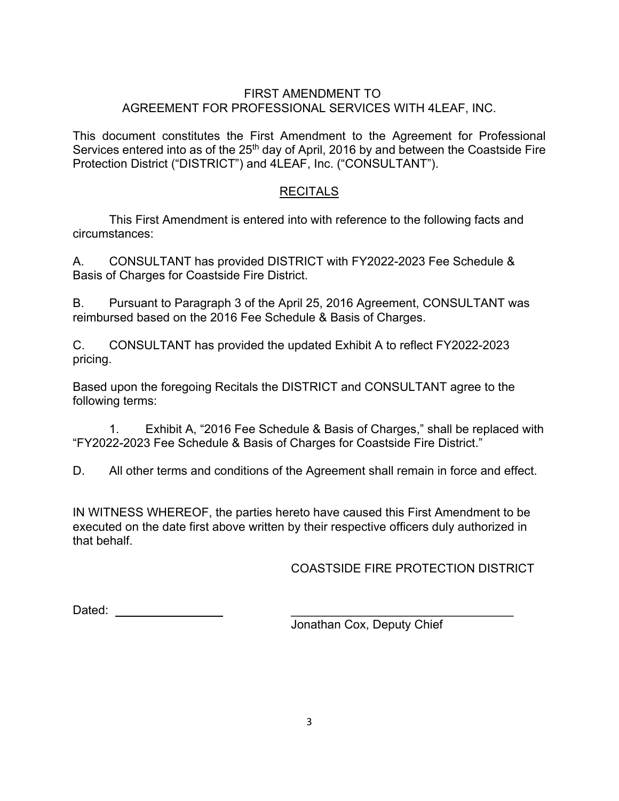## FIRST AMENDMENT TO AGREEMENT FOR PROFESSIONAL SERVICES WITH 4LEAF, INC.

This document constitutes the First Amendment to the Agreement for Professional Services entered into as of the 25<sup>th</sup> day of April, 2016 by and between the Coastside Fire Protection District ("DISTRICT") and 4LEAF, Inc. ("CONSULTANT").

## RECITALS

This First Amendment is entered into with reference to the following facts and circumstances:

A. CONSULTANT has provided DISTRICT with FY2022-2023 Fee Schedule & Basis of Charges for Coastside Fire District.

B. Pursuant to Paragraph 3 of the April 25, 2016 Agreement, CONSULTANT was reimbursed based on the 2016 Fee Schedule & Basis of Charges.

C. CONSULTANT has provided the updated Exhibit A to reflect FY2022-2023 pricing.

Based upon the foregoing Recitals the DISTRICT and CONSULTANT agree to the following terms:

1. Exhibit A, "2016 Fee Schedule & Basis of Charges," shall be replaced with "FY2022-2023 Fee Schedule & Basis of Charges for Coastside Fire District."

D. All other terms and conditions of the Agreement shall remain in force and effect.

IN WITNESS WHEREOF, the parties hereto have caused this First Amendment to be executed on the date first above written by their respective officers duly authorized in that behalf.

## COASTSIDE FIRE PROTECTION DISTRICT

Dated: \_\_\_\_\_\_\_\_\_\_\_\_\_\_\_\_\_\_\_\_\_\_\_\_\_\_\_\_\_\_\_\_\_

Jonathan Cox, Deputy Chief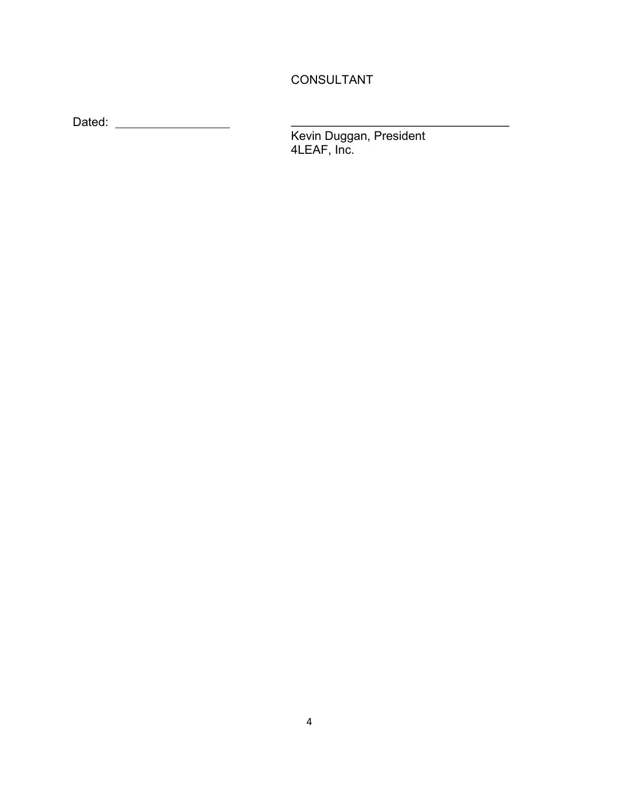## CONSULTANT

Dated:

Kevin Duggan, President 4LEAF, Inc.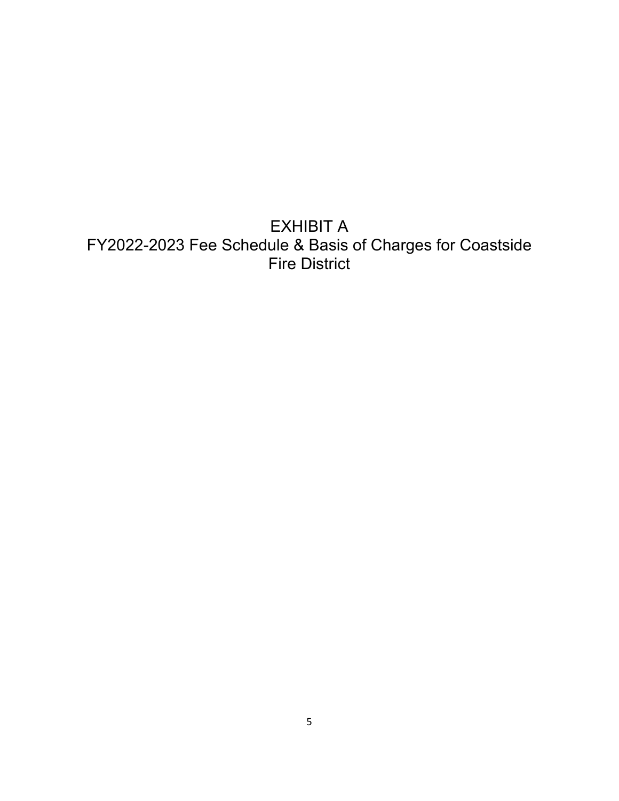EXHIBIT A FY2022-2023 Fee Schedule & Basis of Charges for Coastside Fire District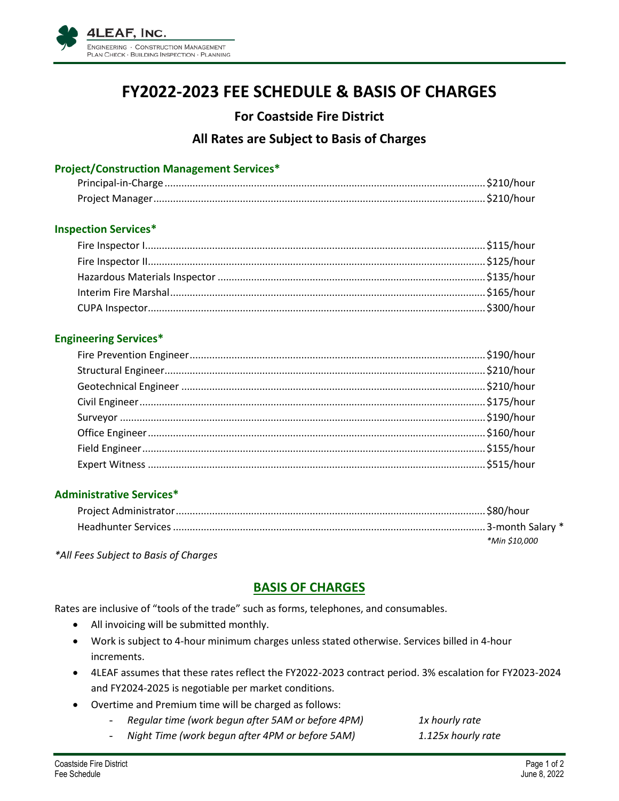

## **FY2022-2023 FEE SCHEDULE & BASIS OF CHARGES**

## **For Coastside Fire District**

## **All Rates are Subject to Basis of Charges**

### **Project/Construction Management Services\***

#### **Inspection Services\***

#### **Engineering Services\***

## **Administrative Services\***

| *Min \$10.000 |
|---------------|

*\*All Fees Subject to Basis of Charges*

## **BASIS OF CHARGES**

Rates are inclusive of "tools of the trade" such as forms, telephones, and consumables.

- All invoicing will be submitted monthly.
- Work is subject to 4-hour minimum charges unless stated otherwise. Services billed in 4-hour increments.
- 4LEAF assumes that these rates reflect the FY2022-2023 contract period. 3% escalation for FY2023-2024 and FY2024-2025 is negotiable per market conditions.
- Overtime and Premium time will be charged as follows:
	- *Regular time (work begun after 5AM or before 4PM) 1x hourly rate*
	- *Night Time (work begun after 4PM or before 5AM) 1.125x hourly rate*